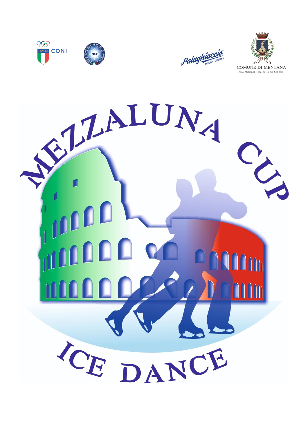





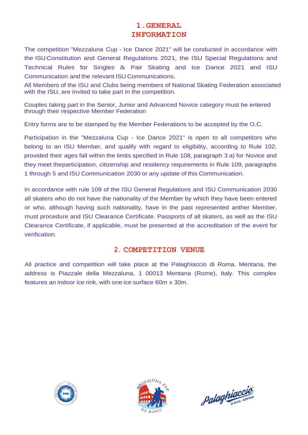# **1.GENERAL INFORMATION**

The competition "Mezzaluna Cup - Ice Dance 2021" will be conducted in accordance with the ISU Constitution and General Regulations 2021, the ISU Special Regulations and Technical Rules for Singles & Pair Skating and Ice Dance 2021 and ISU Communication and the relevant ISU Communications.

All Members of the ISU and Clubs being members of National Skating Federation associated with the ISU, are invited to take part in the competition.

Couples taking part in the Senior, Junior and Advanced Novice category must be entered through their respective Member Federation

Entry forms are to be stamped by the Member Federations to be accepted by the O.C.

Participation in the "Mezzaluna Cup - Ice Dance 2021" is open to all competitors who belong to an ISU Member, and qualify with regard to eligibility, according to Rule 102, provided their ages fall within the limits specified in Rule 108, paragraph 3 a) for Novice and they meet theparticipation, citizenship and residency requirements in Rule 109, paragraphs 1 through 5 and ISU Communication 2030 or any update of this Communication.

In accordance with rule 109 of the ISU General Regulations and ISU Communication 2030 all skaters who do not have the nationality of the Member by which they have been entered or who, although having such nationality, have in the past represented anther Member, must procedure and ISU Clearance Certificate. Passports of all skaters, as well as the ISU Clearance Certificate, if applicable, must be presented at the accreditation of the event for verification.

## **2. COMPETITION VENUE**

All practice and competition will take place at the Palaghiaccio di Roma, Mentana, the address is Piazzale della Mezzaluna, 1 00013 Mentana (Rome), Italy. This complex features an indoor ice rink, with one ice surface 60m x 30m.





palaghiaccio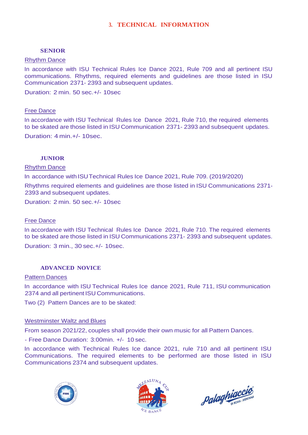## **3. TECHNICAL INFORMATION**

### **SENIOR**

#### Rhythm Dance

In accordance with ISU Technical Rules Ice Dance 2021, Rule 709 and all pertinent ISU communications. Rhythms, required elements and guidelines are those listed in ISU Communication 2371- 2393 and subsequent updates.

Duration: 2 min. 50 sec.+/- 10sec

#### Free Dance

In accordance with ISU Technical Rules Ice Dance 2021, Rule 710, the required elements to be skated are those listed in ISU Communication 2371- 2393 and subsequent updates. Duration: 4 min.+/- 10sec.

### **JUNIOR**

#### Rhythm Dance

In accordance with ISUTechnical Rules Ice Dance 2021, Rule 709. (2019/2020)

Rhythms required elements and guidelines are those listed in ISU Communications 2371- 2393 and subsequent updates.

Duration: 2 min. 50 sec.+/- 10sec

#### Free Dance

In accordance with ISU Technical Rules Ice Dance 2021, Rule 710. The required elements to be skated are those listed in ISU Communications 2371- 2393 and subsequent updates.

Duration: 3 min., 30 sec.+/- 10sec.

### **ADVANCED NOVICE**

#### Pattern Dances

In accordance with ISU Technical Rules Ice dance 2021, Rule 711, ISU communication 2374 and all pertinent ISU Communications.

Two (2) Pattern Dances are to be skated:

#### Westminster Waltz and Blues

From season 2021/22, couples shall provide their own music for all Pattern Dances.

- Free Dance Duration: 3:00min. +/- 10 sec.

In accordance with Technical Rules Ice dance 2021, rule 710 and all pertinent ISU Communications. The required elements to be performed are those listed in ISU Communications 2374 and subsequent updates.





palaghiaccio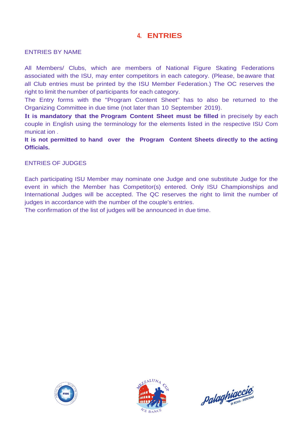# **4. ENTRIES**

### ENTRIES BY NAME

All Members/ Clubs, which are members of National Figure Skating Federations associated with the ISU, may enter competitors in each category. (Please, beaware that all Club entries must be printed by the ISU Member Federation.) The OC reserves the right to limit the number of participants for each category.

The Entry forms with the "Program Content Sheet" has to also be returned to the Organizing Committee in due time (not later than 10 September 2019).

**It is mandatory that the Program Content Sheet must be filled** in precisely by each couple in English using the terminology for the elements listed in the respective ISU Com municat ion .

**It is not permitted to hand over the Program Content Sheets directly to the acting Officials.**

ENTRIES OF JUDGES

Each participating ISU Member may nominate one Judge and one substitute Judge for the event in which the Member has Competitor(s) entered. Only ISU Championships and International Judges will be accepted. The QC reserves the right to limit the number of judges in accordance with the number of the couple's entries.

The confirmation of the list of judges will be announced in due time.





palaghiaccio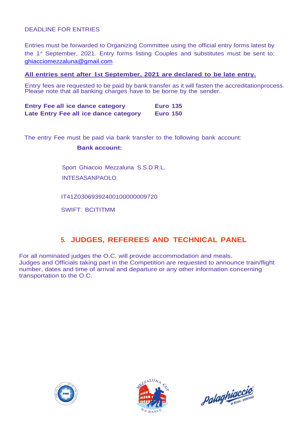### DEADLINE FOR ENTRIES

Entries must be forwarded to Organizing Committee using the official entry forms latest by the 1<sup>st</sup> September, 2021. Entry forms listing Couples and substitutes must be sent to: [ghiacciomezzaluna@gmail.com](mailto:ghiacciomezzaluna@gmail.com)

### **All entries sent after 1st September, 2021 are declared to be late entry.**

Entry fees are requested to be paid by bank transfer as it will fasten the accreditationprocess. Please note that all banking charges have to be borne by the sender.

| <b>Entry Fee all ice dance category</b> | <b>Euro 135</b> |  |
|-----------------------------------------|-----------------|--|
| Late Entry Fee all ice dance category   | <b>Euro 150</b> |  |

The entry Fee must be paid via bank transfer to the following bank account:

**Bank account:**

Sport Ghiaccio Mezzaluna S.S.D.R.L.

INTESASANPAOLO

IT41Z03069392400100000009720

SWIFT: BCITITMM

# **5. JUDGES, REFEREES AND TECHNICAL PANEL**

For all nominated judges the O.C. will provide accommodation and meals. Judges and Officials taking part in the Competition are requested to announce train/flight number, dates and time of arrival and departure or any other information concerning transportation to the O.C.





palaghiaccio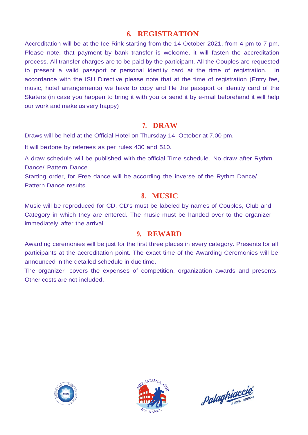# **6. REGISTRATION**

Accreditation will be at the Ice Rink starting from the 14 October 2021, from 4 pm to 7 pm. Please note, that payment by bank transfer is welcome, it will fasten the accreditation process. All transfer charges are to be paid by the participant. All the Couples are requested to present a valid passport or personal identity card at the time of registration. In accordance with the ISU Directive please note that at the time of registration (Entry fee, music, hotel arrangements) we have to copy and file the passport or identity card of the Skaters (in case you happen to bring it with you or send it by e-mail beforehand it will help our work and make us very happy)

## **7. DRAW**

Draws will be held at the Official Hotel on Thursday 14 October at 7.00 pm.

It will be done by referees as per rules 430 and 510.

A draw schedule will be published with the official Time schedule. No draw after Rythm Dance/ Pattern Dance.

Starting order, for Free dance will be according the inverse of the Rythm Dance/ Pattern Dance results.

## **8. MUSIC**

Music will be reproduced for CD. CD's must be labeled by names of Couples, Club and Category in which they are entered. The music must be handed over to the organizer immediately after the arrival.

## **9. REWARD**

Awarding ceremonies will be just for the first three places in every category. Presents for all participants at the accreditation point. The exact time of the Awarding Ceremonies will be announced in the detailed schedule in due time.

The organizer covers the expenses of competition, organization awards and presents. Other costs are not included.





palaghiaccio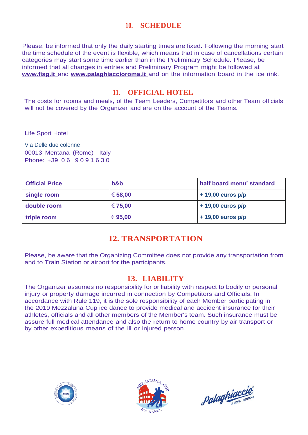# **10. SCHEDULE**

Please, be informed that only the daily starting times are fixed. Following the morning start the time schedule of the event is flexible, which means that in case of cancellations certain categories may start some time earlier than in the Preliminary Schedule. Please, be informed that all changes in entries and Preliminary Program might be followed at **[www.fisg.it](http://www.fisg.itand/)** an[d](http://www.fisg.itand/) **[www.palaghiaccioroma.it](http://www.palaghiaccioroma.itand/)** an[d](http://www.palaghiaccioroma.itand/) on the information board in the ice rink.

# **11. OFFICIAL HOTEL**

The costs for rooms and meals, of the Team Leaders, Competitors and other Team officials will not be covered by the Organizer and are on the account of the Teams.

Life Sport Hotel

Via Delle due colonne 00013 Mentana (Rome) Italy Phone: +39 0 6 9 0 9 1 6 3 0

| <b>Official Price</b> | $b$ &b      | half board menu' standard |
|-----------------------|-------------|---------------------------|
| single room           | € 58,00     | $+19,00$ euros p/p        |
| double room           | € 75,00     | $+19,00$ euros p/p        |
| triple room           | $\in$ 95,00 | $+19,00$ euros p/p        |

# **12. TRANSPORTATION**

Please, be aware that the Organizing Committee does not provide any transportation from and to Train Station or airport for the participants.

# **13. LIABILITY**

The Organizer assumes no responsibility for or liability with respect to bodily or personal injury or property damage incurred in connection by Competitors and Officials. In accordance with Rule 119, it is the sole responsibility of each Member participating in the 2019 Mezzaluna Cup ice dance to provide medical and accident insurance for their athletes, officials and all other members of the Member's team. Such insurance must be assure full medical attendance and also the return to home country by air transport or by other expeditious means of the ill or injured person.





palaghiaccio